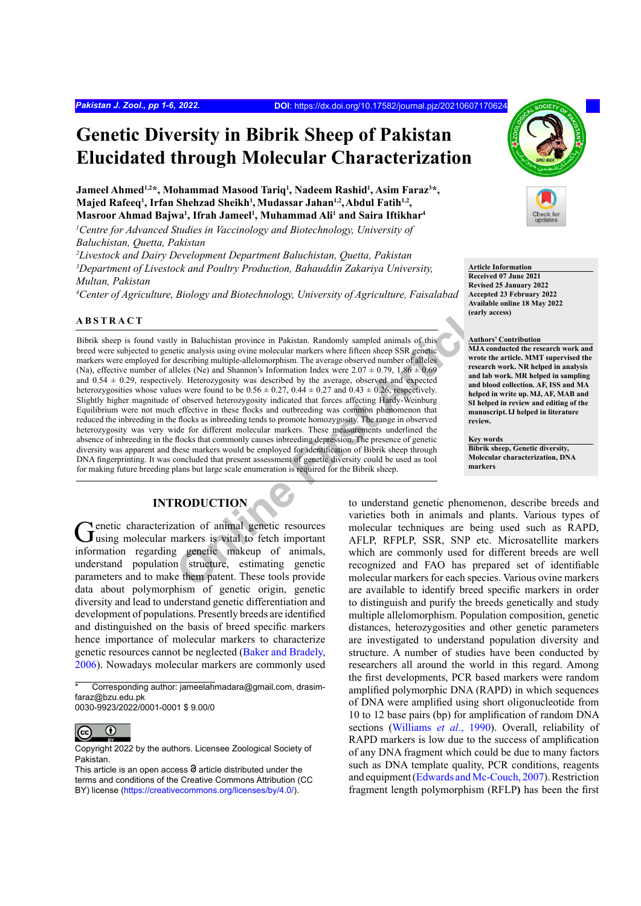# **Genetic Diversity in Bibrik Sheep of Pakistan Elucidated through Molecular Characterization**

Jameel Ahmed<sup>1,2</sup>\*, Mohammad Masood Tariq<sup>1</sup>, Nadeem Rashid<sup>1</sup>, Asim Faraz<sup>3</sup>\*, Majed Rafeeq<sup>1</sup>, Irfan Shehzad Sheikh<sup>1</sup>, Mudassar Jahan<sup>1,2</sup>, Abdul Fatih<sup>1,2</sup>, **Masroor Ahmad Bajwa1 , Ifrah Jameel1 , Muhammad Ali1 and Saira Iftikhar4**

<sup>1</sup> Centre for Advanced Studies in Vaccinology and Biotechnology, University of *Baluchistan, Quetta, Pakistan* 

*2 Livestock and Dairy Development Department Baluchistan, Quetta, Pakistan 3 Department of Livestock and Poultry Production, Bahauddin Zakariya University, Multan, Pakistan*

*4 Center of Agriculture, Biology and Biotechnology, University of Agriculture, Faisalabad*

#### **ABSTRACT**

Fraction of animal genetic resources<br>
State and the state and the state and the state and the state and the state and the state and the state and the state and the state and the state of the state of the state of the state Bibrik sheep is found vastly in Baluchistan province in Pakistan. Randomly sampled animals of this breed were subjected to genetic analysis using ovine molecular markers where fifteen sheep SSR genetic markers were employed for describing multiple-allelomorphism. The average observed number of alleles (Na), effective number of alleles (Ne) and Shannon's Information Index were  $2.07 \pm 0.79$ ,  $1.86 \pm 0.69$ and  $0.54 \pm 0.29$ , respectively. Heterozygosity was described by the average, observed and expected heterozygosities whose values were found to be  $0.56 \pm 0.27$ ,  $0.44 \pm 0.27$  and  $0.43 \pm 0.26$ , respectively. Slightly higher magnitude of observed heterozygosity indicated that forces affecting Hardy-Weinburg Equilibrium were not much effective in these flocks and outbreeding was common phenomenon that reduced the inbreeding in the flocks as inbreeding tends to promote homozygosity. The range in observed heterozygosity was very wide for different molecular markers. These measurements underlined the absence of inbreeding in the flocks that commonly causes inbreeding depression. The presence of genetic diversity was apparent and these markers would be employed for identification of Bibrik sheep through DNA fingerprinting. It was concluded that present assessment of genetic diversity could be used as tool for making future breeding plans but large scale enumeration is required for the Bibrik sheep.

# **INTRODUCTION**

Genetic characterization of animal genetic resources<br>
using molecular markers is vital to fetch important information regarding genetic makeup of animals, understand population structure, estimating genetic parameters and to make them patent. These tools provide data about polymorphism of genetic origin, genetic diversity and lead to understand genetic differentiation and development of populations. Presently breeds are identified and distinguished on the basis of breed specific markers hence importance of molecular markers to characterize genetic resources cannot be neglected ([Baker and Bradely,](#page-4-0) [2006](#page-4-0)). Nowadays molecular markers are commonly used

0030-9923/2022/0001-0001 \$ 9.00/0



**Article Information Received 07 June 2021 Revised 25 January 2022 Accepted 23 February 2022 Available online 18 May 2022 (early access)**

#### **Authors' Contribution**

**MJA conducted the research work and wrote the article. MMT supervised the research work. NR helped in analysis and lab work. MR helped in sampling and blood collection. AF, ISS and MA helped in write up.MJ, AF, MAB and SI helped in review and editing of the manuscript.IJ helped in literature review.**

**Key words Bibrik sheep, Genetic diversity, Molecular characterization, DNA markers**

to understand genetic phenomenon, describe breeds and varieties both in animals and plants. Various types of molecular techniques are being used such as RAPD, AFLP, RFPLP, SSR, SNP etc. Microsatellite markers which are commonly used for different breeds are well recognized and FAO has prepared set of identifiable molecular markers for each species. Various ovine markers are available to identify breed specific markers in order to distinguish and purify the breeds genetically and study multiple allelomorphism. Population composition, genetic distances, heterozygosities and other genetic parameters are investigated to understand population diversity and structure. A number of studies have been conducted by researchers all around the world in this regard. Among the first developments, PCR based markers were random amplified polymorphic DNA (RAPD) in which sequences of DNA were amplified using short oligonucleotide from 10 to 12 base pairs (bp) for amplification of random DNA sections ([Williams](#page-5-0) *et al*., 1990). Overall, reliability of RAPD markers is low due to the success of amplification of any DNA fragment which could be due to many factors such as DNA template quality, PCR conditions, reagents and equipment ([Edwards and Mc-Couch, 2007](#page-4-1)). Restriction fragment length polymorphism (RFLP**)** has been the first

Corresponding author: jameelahmadara@gmail.com, drasimfaraz@bzu.edu.pk

 $\odot$ (cc

Copyright 2022 by the authors. Licensee Zoological Society of Pakistan.

This article is an open access  $\Theta$  article distributed under the terms and conditions of the Creative Commons Attribution (CC BY) license (https://creativecommons.org/licenses/by/4.0/).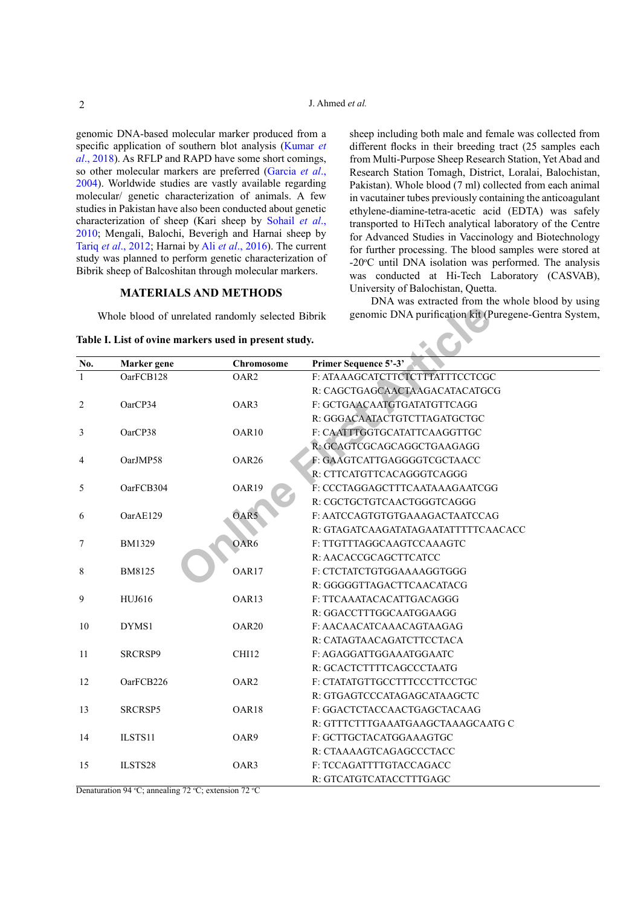genomic DNA-based molecular marker produced from a specific application of southern blot analysis ([Kumar](#page-4-2) *et al*[., 201](#page-4-2)8). As RFLP and RAPD have some short comings, so other molecular markers are preferred (Garcia *et al*., 2004). Worldwide studies are vastly available regarding molecular/ genetic characterization of animals. A few studies in Pakistan have also been conducted about genetic characterization of sheep (Kari sheep by [Sohail](#page-4-3) *et al*., [2010;](#page-4-3) Mengali, Balochi, Beverigh and Harnai sheep by Tariq *et al*[., 2012;](#page-4-4) Harnai by Ali *et al*[., 2016](#page-4-5)). The current study was planned to perform genetic characterization of Bibrik sheep of Balcoshitan through molecular markers.

#### **MATERIALS AND METHODS**

<span id="page-1-0"></span>**Table I. List of ovine markers used in present study.**

sheep including both male and female was collected from different flocks in their breeding tract (25 samples each from Multi-Purpose Sheep Research Station, Yet Abad and Research Station Tomagh, District, Loralai, Balochistan, Pakistan). Whole blood (7 ml) collected from each animal in vacutainer tubes previously containing the anticoagulant ethylene-diamine-tetra-acetic acid (EDTA) was safely transported to HiTech analytical laboratory of the Centre for Advanced Studies in Vaccinology and Biotechnology for further processing. The blood samples were stored at -20°C until DNA isolation was performed. The analysis was conducted at Hi-Tech Laboratory (CASVAB), University of Balochistan, Quetta.

DNA was extracted from the whole blood by using genomic DNA purification kit (Puregene-Gentra System,

|              |               | Whole blood of unrelated randomly selected Bibrik     | genomic DNA purification kit (Puregene-Gentra System, |  |  |  |  |
|--------------|---------------|-------------------------------------------------------|-------------------------------------------------------|--|--|--|--|
|              |               | Table I. List of ovine markers used in present study. |                                                       |  |  |  |  |
| No.          | Marker gene   | Chromosome                                            | Primer Sequence 5'-3'                                 |  |  |  |  |
| $\mathbf{1}$ | OarFCB128     | OAR <sub>2</sub>                                      | F: ATAAAGCATCTTCTCTTTATTTCCTCGC                       |  |  |  |  |
|              |               |                                                       | R: CAGCTGAGCAACTAAGACATACATGCG                        |  |  |  |  |
| 2            | OarCP34       | OAR3                                                  | F: GCTGAACAATGTGATATGTTCAGG                           |  |  |  |  |
|              |               |                                                       | R: GGGACAATACTGTCTTAGATGCTGC                          |  |  |  |  |
| 3            | OarCP38       | OAR10                                                 | F: CAATTTGGTGCATATTCAAGGTTGC                          |  |  |  |  |
|              |               |                                                       | R: GCAGTCGCAGCAGGCTGAAGAGG                            |  |  |  |  |
| 4            | OarJMP58      | OAR <sub>26</sub>                                     | F: GAAGTCATTGAGGGGTCGCTAACC                           |  |  |  |  |
|              |               |                                                       | R: CTTCATGTTCACAGGGTCAGGG                             |  |  |  |  |
| 5            | OarFCB304     | OAR19                                                 | F: CCCTAGGAGCTTTCAATAAAGAATCGG                        |  |  |  |  |
|              |               |                                                       | R: CGCTGCTGTCAACTGGGTCAGGG                            |  |  |  |  |
| 6            | OarAE129      | OAR5                                                  | F: AATCCAGTGTGTGAAAGACTAATCCAG                        |  |  |  |  |
|              |               |                                                       | R: GTAGATCAAGATATAGAATATTTTTCAACACC                   |  |  |  |  |
| 7            | <b>BM1329</b> | OAR6                                                  | F: TTGTTTAGGCAAGTCCAAAGTC                             |  |  |  |  |
|              |               |                                                       | R: AACACCGCAGCTTCATCC                                 |  |  |  |  |
| 8            | BM8125        | OAR17                                                 | F: CTCTATCTGTGGAAAAGGTGGG                             |  |  |  |  |
|              |               |                                                       | R: GGGGGTTAGACTTCAACATACG                             |  |  |  |  |
| 9            | HUJ616        | OAR13                                                 | F: TTCAAATACACATTGACAGGG                              |  |  |  |  |
|              |               |                                                       | R: GGACCTTTGGCAATGGAAGG                               |  |  |  |  |
| 10           | DYMS1         | OAR <sub>20</sub>                                     | F: AACAACATCAAACAGTAAGAG                              |  |  |  |  |
|              |               |                                                       | R: CATAGTAACAGATCTTCCTACA                             |  |  |  |  |
| 11           | SRCRSP9       | CHI12                                                 | F: AGAGGATTGGAAATGGAATC                               |  |  |  |  |
|              |               |                                                       | R: GCACTCTTTTCAGCCCTAATG                              |  |  |  |  |
| 12           | OarFCB226     | OAR <sub>2</sub>                                      | F: CTATATGTTGCCTTTCCCTTCCTGC                          |  |  |  |  |
|              |               |                                                       | R: GTGAGTCCCATAGAGCATAAGCTC                           |  |  |  |  |
| 13           | SRCRSP5       | OAR18                                                 | F: GGACTCTACCAACTGAGCTACAAG                           |  |  |  |  |
|              |               |                                                       | R: GTTTCTTTGAAATGAAGCTAAAGCAATG C                     |  |  |  |  |
| 14           | ILSTS11       | OAR9                                                  | F: GCTTGCTACATGGAAAGTGC                               |  |  |  |  |
|              |               |                                                       | R: CTAAAAGTCAGAGCCCTACC                               |  |  |  |  |
| 15           | ILSTS28       | OAR3                                                  | F: TCCAGATTTTGTACCAGACC                               |  |  |  |  |
|              |               |                                                       | R: GTCATGTCATACCTTTGAGC                               |  |  |  |  |

Denaturation 94 °C; annealing 72 °C; extension 72 °C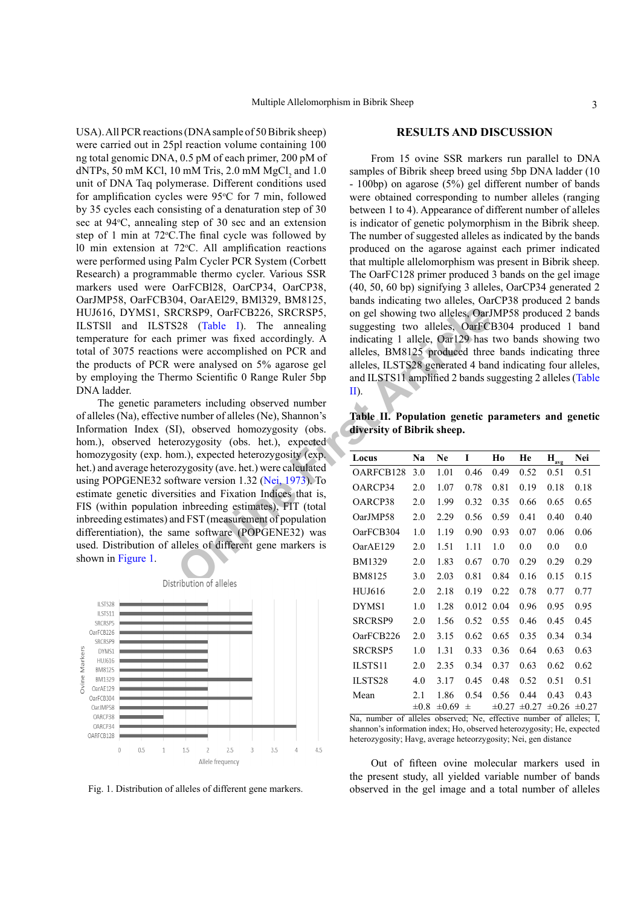USA). All PCR reactions (DNA sample of 50 Bibrik sheep) were carried out in 25pl reaction volume containing 100 ng total genomic DNA, 0.5 pM of each primer, 200 pM of dNTPs, 50 mM KCl, 10 mM Tris, 2.0 mM  $MgCl<sub>2</sub>$  and 1.0 unit of DNA Taq polymerase. Different conditions used for amplification cycles were  $95^{\circ}$ C for 7 min, followed by 35 cycles each consisting of a denaturation step of 30 sec at 94°C, annealing step of 30 sec and an extension step of 1 min at  $72^{\circ}$ C. The final cycle was followed by 10 min extension at  $72^{\circ}$ C. All amplification reactions were performed using Palm Cycler PCR System (Corbett Research) a programmable thermo cycler. Various SSR markers used were OarFCBl28, OarCP34, OarCP38, OarJMP58, OarFCB304, OarAEl29, BMl329, BM8125, HUJ616, DYMS1, SRCRSP9, OarFCB226, SRCRSP5, ILSTSll and ILSTS28 (Table I). The annealing temperature for each primer was fixed accordingly. A total of 3075 reactions were accomplished on PCR and the products of PCR were analysed on 5% agarose gel by employing the Thermo Scientific 0 Range Ruler 5bp DNA ladder.

CRSP9, OarFCB226, SRCRSP5, on gel showing two alleles, OarFC<br>
1928 (Table I). The annealing suggesting two alleles, OarFC<br>
primer was fixed accordingly. A indicating 1 allele, Oar129 has<br>
suggesting two alleles, BM8125 pro The genetic parameters including observed number of alleles (Na), effective number of alleles (Ne), Shannon's Information Index (SI), observed homozygosity (obs. hom.), observed heterozygosity (obs. het.), expected homozygosity (exp. hom.), expected heterozygosity (exp. het.) and average heterozygosity (ave. het.) were calculated using POPGENE32 software version 1.32 (Nei, 1973). To estimate genetic diversities and Fixation Indices that is, FIS (within population inbreeding estimates), FIT (total inbreeding estimates) and FST (measurement of population differentiation), the same software (POPGENE32) was used. Distribution of alleles of different gene markers is shown in [Figure 1](#page-2-0).



<span id="page-2-0"></span>Fig. 1. Distribution of alleles of different gene markers.

#### **RESULTS AND DISCUSSION**

From 15 ovine SSR markers run parallel to DNA samples of Bibrik sheep breed using 5bp DNA ladder (10) - 100bp) on agarose (5%) gel different number of bands were obtained corresponding to number alleles (ranging between 1 to 4). Appearance of different number of alleles is indicator of genetic polymorphism in the Bibrik sheep. The number of suggested alleles as indicated by the bands produced on the agarose against each primer indicated that multiple allelomorphism was present in Bibrik sheep. The OarFC128 primer produced 3 bands on the gel image (40, 50, 60 bp) signifying 3 alleles, OarCP34 generated 2 bands indicating two alleles, OarCP38 produced 2 bands on gel showing two alleles, OarJMP58 produced 2 bands suggesting two alleles, OarFCB304 produced 1 band indicating 1 allele, Oar129 has two bands showing two alleles, BM8125 produced three bands indicating three alleles, ILSTS28 generated 4 band indicating four alleles, and ILSTS11 amplified 2 bands suggesting 2 alleles ([Table](#page-2-1) II).

<span id="page-2-1"></span>**Table II. Population genetic parameters and genetic diversity of Bibrik sheep.**

| Locus          | Na        | Ne         | I     | Ho         | He         | Н<br>avg   | Nei        |
|----------------|-----------|------------|-------|------------|------------|------------|------------|
| OARFCB128      | 3.0       | 1.01       | 0.46  | 0.49       | 0.52       | 0.51       | 0.51       |
| OARCP34        | 2.0       | 1.07       | 0.78  | 0.81       | 0.19       | 0.18       | 0.18       |
| OARCP38        | 2.0       | 1.99       | 0.32  | 0.35       | 0.66       | 0.65       | 0.65       |
| OarJMP58       | 2.0       | 2.29       | 0.56  | 0.59       | 0.41       | 0.40       | 0.40       |
| OarFCB304      | 1.0       | 1.19       | 0.90  | 0.93       | 0.07       | 0.06       | 0.06       |
| OarAE129       | 2.0       | 1.51       | 1.11  | 1.0        | 0.0        | 0.0        | 0.0        |
| BM1329         | 2.0       | 1.83       | 0.67  | 0.70       | 0.29       | 0.29       | 0.29       |
| BM8125         | 3.0       | 2.03       | 0.81  | 0.84       | 0.16       | 0.15       | 0.15       |
| <b>HUJ616</b>  | 2.0       | 2.18       | 0.19  | 0.22       | 0.78       | 0.77       | 0.77       |
| DYMS1          | 1.0       | 1.28       | 0.012 | 0.04       | 0.96       | 0.95       | 0.95       |
| <b>SRCRSP9</b> | 2.0       | 1.56       | 0.52  | 0.55       | 0.46       | 0.45       | 0.45       |
| OarFCB226      | 2.0       | 3.15       | 0.62  | 0.65       | 0.35       | 0.34       | 0.34       |
| SRCRSP5        | 1.0       | 1.31       | 0.33  | 0.36       | 0.64       | 0.63       | 0.63       |
| ILSTS11        | 2.0       | 2.35       | 0.34  | 0.37       | 0.63       | 0.62       | 0.62       |
| ILSTS28        | 4.0       | 3.17       | 0.45  | 0.48       | 0.52       | 0.51       | 0.51       |
| Mean           | 2.1       | 1.86       | 0.54  | 0.56       | 0.44       | 0.43       | 0.43       |
|                | $\pm 0.8$ | $\pm 0.69$ | 士     | $\pm 0.27$ | $\pm 0.27$ | $\pm 0.26$ | $\pm 0.27$ |

Na, number of alleles observed; Ne, effective number of alleles; I, shannon's information index; Ho, observed heterozygosity; He, expected heterozygosity; Havg, average heteorzygosity; Nei, gen distance

Out of fifteen ovine molecular markers used in the present study, all yielded variable number of bands observed in the gel image and a total number of alleles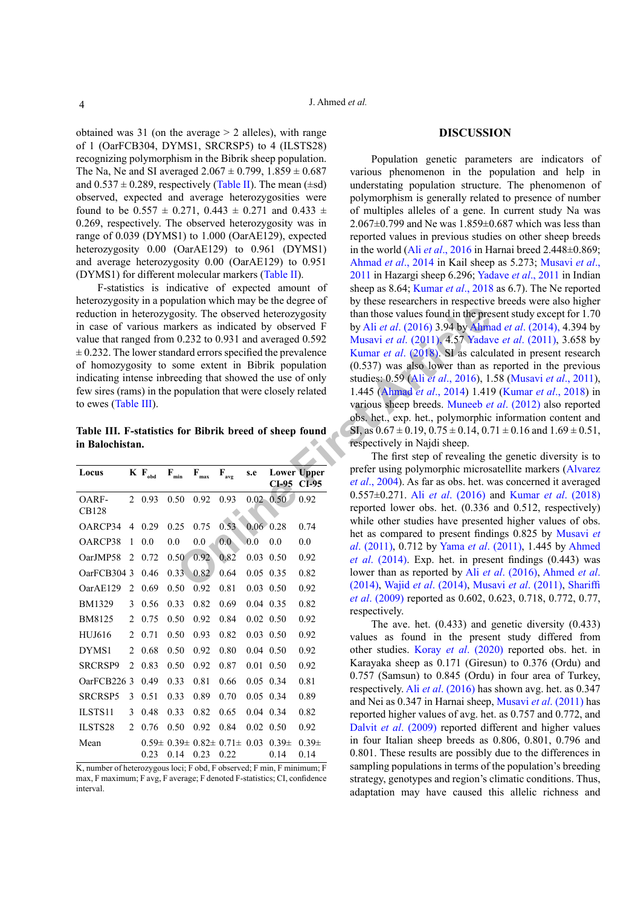obtained was 31 (on the average  $> 2$  alleles), with range of 1 (OarFCB304, DYMS1, SRCRSP5) to 4 (ILSTS28) recognizing polymorphism in the Bibrik sheep population. The Na, Ne and SI averaged  $2.067 \pm 0.799$ ,  $1.859 \pm 0.687$ and  $0.537 \pm 0.289$ , respectively [\(Table II\)](#page-2-1). The mean ( $\pm$ sd) observed, expected and average heterozygosities were found to be  $0.557 \pm 0.271$ ,  $0.443 \pm 0.271$  and  $0.433 \pm 0.271$ 0.269, respectively. The observed heterozygosity was in range of 0.039 (DYMS1) to 1.000 (OarAE129), expected heterozygosity 0.00 (OarAE129) to 0.961 (DYMS1) and average heterozygosity 0.00 (OarAE129) to 0.951 (DYMS1) for different molecular markers [\(Table II](#page-2-1)).

F-statistics is indicative of expected amount of heterozygosity in a population which may be the degree of reduction in heterozygosity. The observed heterozygosity in case of various markers as indicated by observed F value that ranged from 0.232 to 0.931 and averaged 0.592  $\pm$  0.232. The lower standard errors specified the prevalence of homozygosity to some extent in Bibrik population indicating intense inbreeding that showed the use of only few sires (rams) in the population that were closely related to ewes ([Table III](#page-3-0)).

<span id="page-3-0"></span>**Table III. F-statistics for Bibrik breed of sheep found in Balochistan.**

| Locus          |                | $K F_{\text{obd}}$ | F<br>min          | F<br>max | F<br>avg                          | s.e               | CI-95             | <b>Lower Upper</b><br>CI-95 |
|----------------|----------------|--------------------|-------------------|----------|-----------------------------------|-------------------|-------------------|-----------------------------|
| OARF-<br>CB128 | $\mathfrak{D}$ | 0.93               | 0.50              | 0.92     | 0.93                              | 0.02              | 0.50              | 0.92                        |
| OARCP34        | 4              | 0.29               | 0.25              | 0.75     | 0.53                              | 0.06 <sub>1</sub> | 0.28              | 0.74                        |
| OARCP38        | 1              | 0.0                | 0.0               | 0.0      | 0.0                               | 0.0               | 0.0               | 0.0                         |
| OarJMP58       | $\overline{2}$ | 0.72               | 0.50              | 0.92     | 0.82                              | 0.03              | 0.50              | 0.92                        |
| OarFCB304 3    |                | 0.46               | 0.33              | 0.82     | 0.64                              | 0.05              | 0.35              | 0.82                        |
| OarAE129       | 2              | 0.69               | 0.50              | 0.92     | 0.81                              | 0.03              | 0.50              | 0.92                        |
| BM1329         | 3              | 0.56               | 0.33              | 0.82     | 0.69                              | 0.04              | 0.35              | 0.82                        |
| BM8125         | $\overline{2}$ | 0.75               | 0.50              | 0.92     | 0.84                              | 0.02              | 0.50              | 0.92                        |
| <b>HUJ616</b>  | $\overline{2}$ | 0.71               | 0.50              | 0.93     | 0.82                              | 0.03              | 0.50              | 0.92                        |
| DYMS1          | $\overline{2}$ | 0.68               | 0.50              | 0.92     | 0.80                              | 0.04              | 0.50              | 0.92                        |
| <b>SRCRSP9</b> | 2              | 0.83               | 0.50              | 0.92     | 0.87                              | 0.01              | 0.50              | 0.92                        |
| OarFCB226      | $\mathbf{3}$   | 0.49               | 0.33              | 0.81     | 0.66                              | 0.05              | 0.34              | 0.81                        |
| <b>SRCRSP5</b> | 3              | 0.51               | 0.33              | 0.89     | 0.70                              | 0.05              | 0.34              | 0.89                        |
| ILSTS11        | 3              | 0.48               | 0.33              | 0.82     | 0.65                              | 0.04              | 0.34              | 0.82                        |
| ILSTS28        | $\mathfrak{D}$ | 0.76               | 0.50              | 0.92     | 0.84                              | 0.02              | 0.50              | 0.92                        |
| Mean           |                | $0.59\pm$<br>0.23  | $0.39\pm$<br>0.14 | 0.23     | $0.82 \pm 0.71 \pm 0.001$<br>0.22 | 0.03              | $0.39\pm$<br>0.14 | $0.39\pm$<br>0.14           |

K, number of heterozygous loci; F obd, F observed; F min, F minimum; F max, F maximum; F avg, F average; F denoted F-statistics; CI, confidence interval.

#### **DISCUSSION**

osity. The observed heterozygosity<br>
whan those values found in the pre-<br>
riches as indicated by observed F<br>
by [A](#page-4-7)li et al. (2016) 3.94 by Ahma<b[r](#page-4-5)>
0.232 to 0.931 and averaged 0.592 Musavi et al. (2011), 4.57 Yadav<br>
dard error Population genetic parameters are indicators of various phenomenon in the population and help in understating population structure. The phenomenon of polymorphism is generally related to presence of number of multiples alleles of a gene. In current study Na was 2.067±0.799 and Ne was 1.859±0.687 which was less than reported values in previous studies on other sheep breeds in the world (Ali *et al*[., 2016](#page-4-5) in Harnai breed 2.448±0.869; [Ahmad](#page-4-7) *et al*., 2014 in Kail sheep as 5.273; [Musavi](#page-4-8) *et al*., [2011](#page-4-8) in Hazargi sheep 6.296; [Yadave](#page-5-1) *et al*., 2011 in Indian sheep as 8.64; [Kumar](#page-4-2) *et al*., 2018 as 6.7). The Ne reported by these researchers in respective breeds were also higher than those values found in the present study except for 1.70 by Ali *et al*. (2016) 3.94 by [Ahmad](#page-4-7) *et al*. (2014), 4.394 by Musavi *et al*. (2011), 4.57 [Yadave](#page-5-1) *et al*. (2011), 3.658 by Kumar *et al*. (2018). SI as calculated in present research (0.537) was also lower than as reported in the previous studies: 0.59 (Ali *et al*., 2016), 1.58 [\(Musavi](#page-4-8) *et al*., 2011), 1.445 (Ahmad *et al*., 2014) 1.419 ([Kumar](#page-4-2) *et al*., 2018) in various sheep breeds. Muneeb *et al*. (2012) also reported obs. het., exp. het., polymorphic information content and SI, as  $0.67 \pm 0.19$ ,  $0.75 \pm 0.14$ ,  $0.71 \pm 0.16$  and  $1.69 \pm 0.51$ , respectively in Najdi sheep.

The first step of revealing the genetic diversity is to prefer using polymorphic microsatellite markers (Alvarez *et al*., 2004). As far as obs. het. was concerned it averaged 0.557±0.271. Ali *et al*. (2016) and Kumar *et al*[. \(2018\)](#page-4-2) reported lower obs. het. (0.336 and 0.512, respectively) while other studies have presented higher values of obs. het as compared to present findings 0.825 by [Musavi](#page-4-8) *et al*. (2011), 0.712 by Yama *et al*. (2011), 1.445 by [Ahmed](#page-4-7)  *et al*. (2014). Exp. het. in present findings (0.443) was lower than as reported by Ali *et al*. (2016), [Ahmed](#page-4-7) *et al*. (2014), Wajid *et al*. (2014), [Musavi](#page-4-8) *et al*. (2011), [Shariffi](#page-4-10)  *et al*[. \(2009\)](#page-4-10) reported as 0.602, 0.623, 0.718, 0.772, 0.77, respectively.

The ave. het. (0.433) and genetic diversity (0.433) values as found in the present study differed from other studies. Koray *et al*. (2020) reported obs. het. in Karayaka sheep as 0.171 (Giresun) to 0.376 (Ordu) and 0.757 (Samsun) to 0.845 (Ordu) in four area of Turkey, respectively. Ali *et al*[. \(2016\)](#page-4-5) has shown avg. het. as 0.347 and Nei as 0.347 in Harnai sheep, [Musavi](#page-4-8) *et al*. (2011) has reported higher values of avg. het. as 0.757 and 0.772, and Dalvit *et al*[. \(2009\)](#page-4-11) reported different and higher values in four Italian sheep breeds as 0.806, 0.801, 0.796 and 0.801. These results are possibly due to the differences in sampling populations in terms of the population's breeding strategy, genotypes and region's climatic conditions. Thus, adaptation may have caused this allelic richness and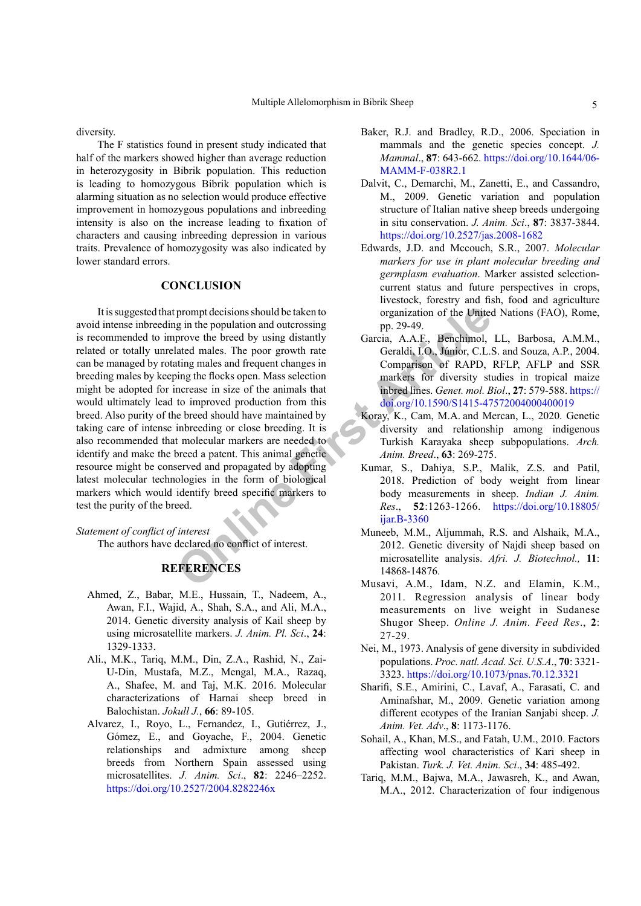diversity.

The F statistics found in present study indicated that half of the markers showed higher than average reduction in heterozygosity in Bibrik population. This reduction is leading to homozygous Bibrik population which is alarming situation as no selection would produce effective improvement in homozygous populations and inbreeding intensity is also on the increase leading to fixation of characters and causing inbreeding depression in various traits. Prevalence of homozygosity was also indicated by lower standard errors.

#### **CONCLUSION**

prompt decisions should be taken to<br>
prove the brought and outcrossing<br>
prove the breed by using distantly<br>
and a correspondent article<br>
and means and frequent changes in<br>
the second and frequent changes in<br>
Comparison of It is suggested that prompt decisions should be taken to avoid intense inbreeding in the population and outcrossing is recommended to improve the breed by using distantly related or totally unrelated males. The poor growth rate can be managed by rotating males and frequent changes in breeding males by keeping the flocks open. Mass selection might be adopted for increase in size of the animals that would ultimately lead to improved production from this breed. Also purity of the breed should have maintained by taking care of intense inbreeding or close breeding. It is also recommended that molecular markers are needed to identify and make the breed a patent. This animal genetic resource might be conserved and propagated by adopting latest molecular technologies in the form of biological markers which would identify breed specific markers to test the purity of the breed.

*Statement of conflict of interest*

The authors have declared no conflict of interest.

## **REFERENCES**

- <span id="page-4-7"></span>Ahmed, Z., Babar, M.E., Hussain, T., Nadeem, A., Awan, F.I., Wajid, A., Shah, S.A., and Ali, M.A., 2014. Genetic diversity analysis of Kail sheep by using microsatellite markers. *J. Anim. Pl. Sci*., **24**: 1329-1333.
- <span id="page-4-5"></span>Ali., M.K., Tariq, M.M., Din, Z.A., Rashid, N., Zai-U-Din, Mustafa, M.Z., Mengal, M.A., Razaq, A., Shafee, M. and Taj, M.K. 2016. Molecular characterizations of Harnai sheep breed in Balochistan. *Jokull J.*, **66**: 89-105.
- Alvarez, I., Royo, L., Fernandez, I., Gutiérrez, J., Gómez, E., and Goyache, F., 2004. Genetic relationships and admixture among sheep breeds from Northern Spain assessed using microsatellites. *J. Anim. Sci*., **82**: 2246–2252. <https://doi.org/10.2527/2004.8282246x>
- <span id="page-4-0"></span>Baker, R.J. and Bradley, R.D., 2006. Speciation in mammals and the genetic species concept. *J. Mammal*., **87**: 643-662. [https://doi.org/10.1644/06-](https://doi.org/10.1644/06-MAMM-F-038R2.1) [MAMM-F-038R2.1](https://doi.org/10.1644/06-MAMM-F-038R2.1)
- <span id="page-4-11"></span>Dalvit, C., Demarchi, M., Zanetti, E., and Cassandro, M., 2009. Genetic variation and population structure of Italian native sheep breeds undergoing in situ conservation. *J. Anim. Sci*., **87**: 3837-3844. <https://doi.org/10.2527/jas.2008-1682>
- <span id="page-4-1"></span>Edwards, J.D. and Mccouch, S.R., 2007. *Molecular markers for use in plant molecular breeding and germplasm evaluation*. Marker assisted selectioncurrent status and future perspectives in crops, livestock, forestry and fish, food and agriculture organization of the United Nations (FAO), Rome, pp. 29-49.
- Garcia, A.A.F., Benchimol, LL, Barbosa, A.M.M., Geraldi, I.O., Júnior, C.L.S. and Souza, A.P., 2004. Comparison of RAPD, RFLP, AFLP and SSR markers for diversity studies in tropical maize inbred lines. *Genet. mol. Biol*., **27**: 579-588. [https://](https://doi.org/10.1590/S1415-47572004000400019) [doi.org/10.1590/S1415-47572004000400019](https://doi.org/10.1590/S1415-47572004000400019)
- Koray, K., Cam, M.A. and Mercan, L., 2020. Genetic diversity and relationship among indigenous Turkish Karayaka sheep subpopulations. *Arch. Anim. Breed*., **63**: 269-275.
- <span id="page-4-2"></span>Kumar, S., Dahiya, S.P., Malik, Z.S. and Patil, 2018. Prediction of body weight from linear body measurements in sheep. *Indian J. Anim. Res*., **52**:1263-1266. [https://doi.org/10.18805/](https://doi.org/10.18805/ijar.B-3360) ijar.B-3360
- <span id="page-4-9"></span>Muneeb, M.M., Aljummah, R.S. and Alshaik, M.A., 2012. Genetic diversity of Najdi sheep based on microsatellite analysis. *Afri. J. Biotechnol.,* **11**: 14868-14876.
- <span id="page-4-8"></span>Musavi, A.M., Idam, N.Z. and Elamin, K.M., 2011. Regression analysis of linear body measurements on live weight in Sudanese Shugor Sheep. *Online J. Anim. Feed Res*., **2**: 27-29.
- <span id="page-4-6"></span>Nei, M., 1973. Analysis of gene diversity in subdivided populations. *Proc. natl. Acad. Sci. U.S.A*., **70**: 3321- 3323.<https://doi.org/10.1073/pnas.70.12.3321>
- <span id="page-4-10"></span>Sharifi, S.E., Amirini, C., Lavaf, A., Farasati, C. and Aminafshar, M., 2009. Genetic variation among different ecotypes of the Iranian Sanjabi sheep. *J. Anim. Vet. Adv*., **8**: 1173-1176.
- <span id="page-4-3"></span>Sohail, A., Khan, M.S., and Fatah, U.M., 2010. Factors affecting wool characteristics of Kari sheep in Pakistan. *Turk. J. Vet. Anim. Sci*., **34**: 485-492.
- <span id="page-4-4"></span>Tariq, M.M., Bajwa, M.A., Jawasreh, K., and Awan, M.A., 2012. Characterization of four indigenous